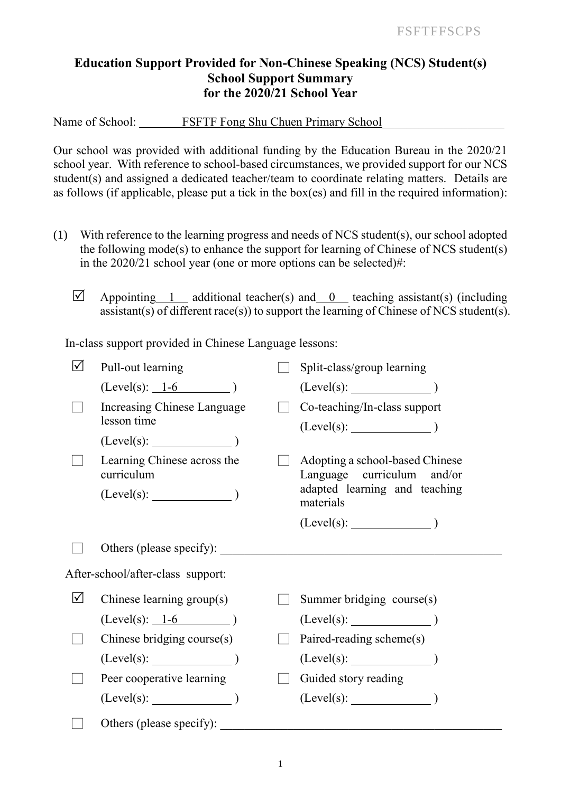## **Education Support Provided for Non-Chinese Speaking (NCS) Student(s) School Support Summary for the 2020/21 School Year**

Name of School: FSFTF Fong Shu Chuen Primary School

Our school was provided with additional funding by the Education Bureau in the 2020/21 school year. With reference to school-based circumstances, we provided support for our NCS student(s) and assigned a dedicated teacher/team to coordinate relating matters. Details are as follows (if applicable, please put a tick in the box(es) and fill in the required information):

- (1) With reference to the learning progress and needs of NCS student(s), our school adopted the following mode(s) to enhance the support for learning of Chinese of NCS student(s) in the 2020/21 school year (one or more options can be selected)#:
	- $\boxtimes$  Appointing 1 additional teacher(s) and 0 teaching assistant(s) (including assistant(s) of different race(s)) to support the learning of Chinese of NCS student(s).

In-class support provided in Chinese Language lessons:

| $\blacktriangledown$              | Pull-out learning                          |  | Split-class/group learning                                    |  |
|-----------------------------------|--------------------------------------------|--|---------------------------------------------------------------|--|
|                                   | $(Level(s): 1-6)$                          |  |                                                               |  |
|                                   | Increasing Chinese Language<br>lesson time |  | Co-teaching/In-class support<br>$(Level(s):$ $)$              |  |
|                                   | $(Level(s):$ $)$                           |  |                                                               |  |
|                                   | Learning Chinese across the<br>curriculum  |  | Adopting a school-based Chinese<br>Language curriculum and/or |  |
|                                   | $(Level(s):$ $)$                           |  | adapted learning and teaching<br>materials                    |  |
|                                   |                                            |  | $(Level(s):$ $)$                                              |  |
|                                   | Others (please specify):                   |  |                                                               |  |
| After-school/after-class support: |                                            |  |                                                               |  |
| $\Delta$                          | Chinese learning group(s)                  |  | Summer bridging course(s)                                     |  |
|                                   | $(Level(s): 1-6)$                          |  | (Level(s):                                                    |  |
|                                   | Chinese bridging course(s)                 |  | Paired-reading scheme(s)                                      |  |
|                                   | $(Level(s):$ (Level(s):                    |  |                                                               |  |
|                                   | Peer cooperative learning                  |  | Guided story reading                                          |  |
|                                   | $(Level(s):$ (Level(s):                    |  |                                                               |  |
|                                   | Others (please specify):                   |  |                                                               |  |